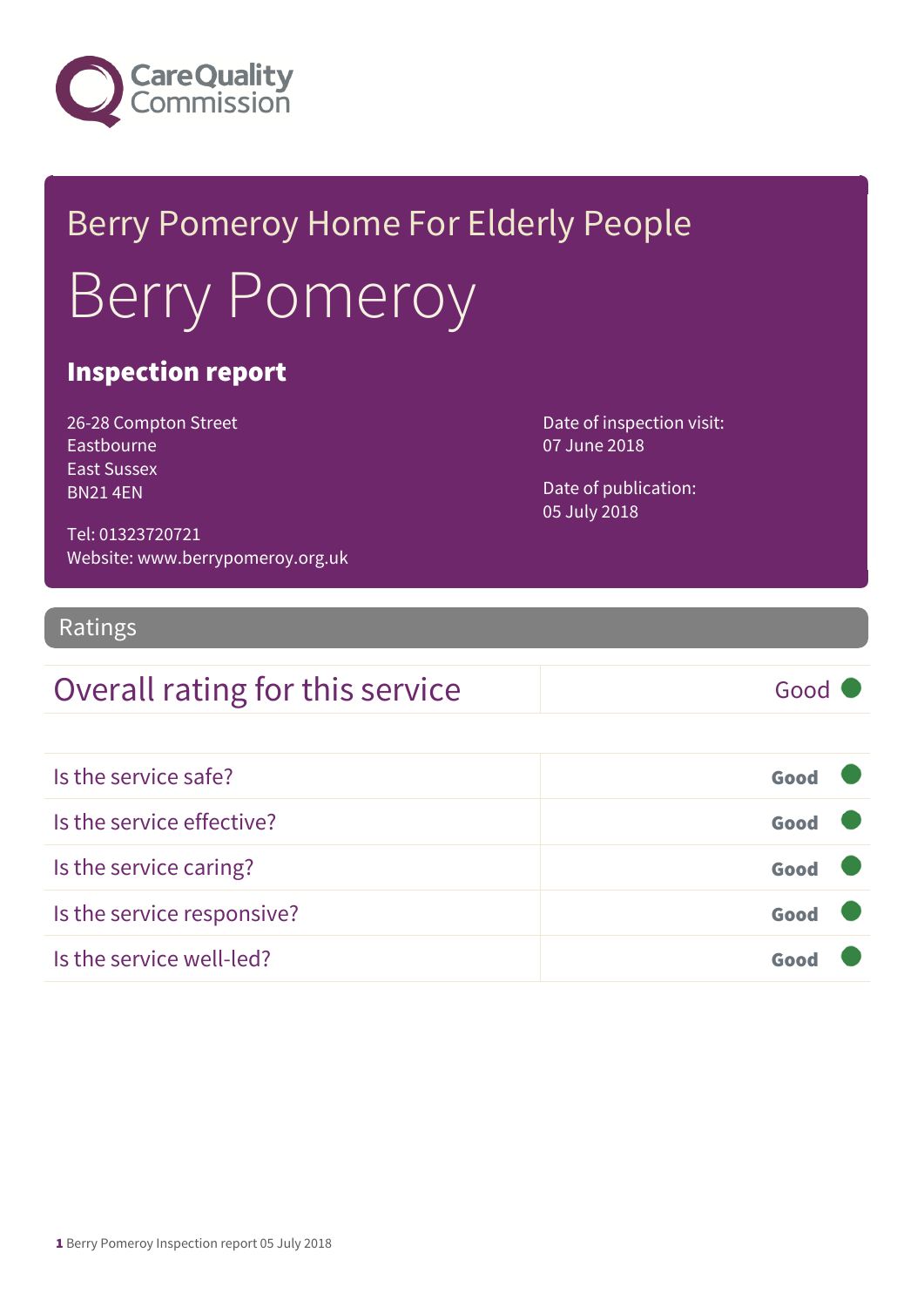

# Berry Pomeroy Home For Elderly People Berry Pomeroy

## Inspection report

26-28 Compton Street Eastbourne East Sussex BN21 4EN

Date of inspection visit: 07 June 2018

Date of publication: 05 July 2018

Tel: 01323720721 Website: www.berrypomeroy.org.uk

### Ratings

## Overall rating for this service Good

| Is the service safe?       | Good |  |
|----------------------------|------|--|
| Is the service effective?  | Good |  |
| Is the service caring?     | Good |  |
| Is the service responsive? | Good |  |
| Is the service well-led?   | Goo  |  |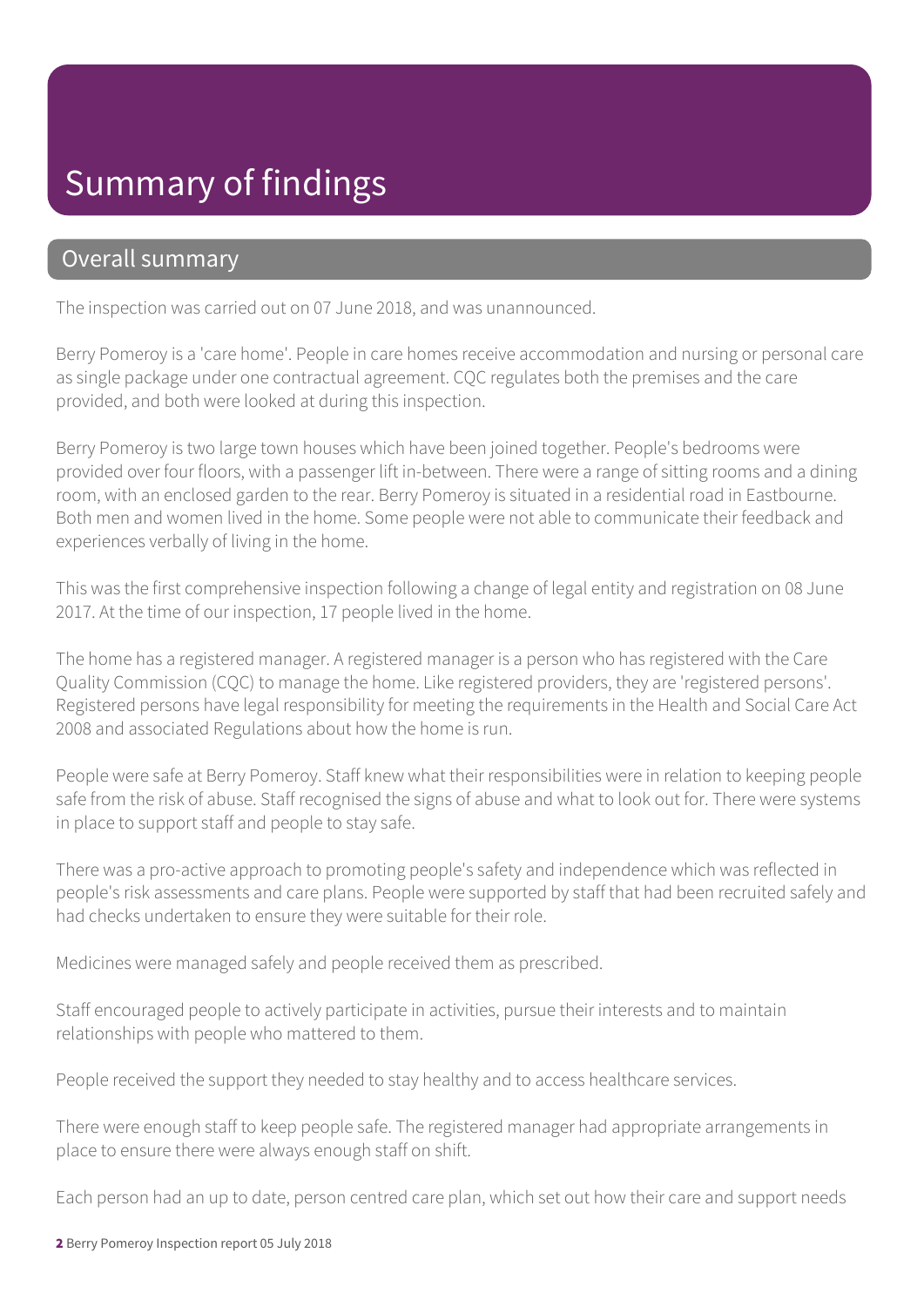## Summary of findings

### Overall summary

The inspection was carried out on 07 June 2018, and was unannounced.

Berry Pomeroy is a 'care home'. People in care homes receive accommodation and nursing or personal care as single package under one contractual agreement. CQC regulates both the premises and the care provided, and both were looked at during this inspection.

Berry Pomeroy is two large town houses which have been joined together. People's bedrooms were provided over four floors, with a passenger lift in-between. There were a range of sitting rooms and a dining room, with an enclosed garden to the rear. Berry Pomeroy is situated in a residential road in Eastbourne. Both men and women lived in the home. Some people were not able to communicate their feedback and experiences verbally of living in the home.

This was the first comprehensive inspection following a change of legal entity and registration on 08 June 2017. At the time of our inspection, 17 people lived in the home.

The home has a registered manager. A registered manager is a person who has registered with the Care Quality Commission (CQC) to manage the home. Like registered providers, they are 'registered persons'. Registered persons have legal responsibility for meeting the requirements in the Health and Social Care Act 2008 and associated Regulations about how the home is run.

People were safe at Berry Pomeroy. Staff knew what their responsibilities were in relation to keeping people safe from the risk of abuse. Staff recognised the signs of abuse and what to look out for. There were systems in place to support staff and people to stay safe.

There was a pro-active approach to promoting people's safety and independence which was reflected in people's risk assessments and care plans. People were supported by staff that had been recruited safely and had checks undertaken to ensure they were suitable for their role.

Medicines were managed safely and people received them as prescribed.

Staff encouraged people to actively participate in activities, pursue their interests and to maintain relationships with people who mattered to them.

People received the support they needed to stay healthy and to access healthcare services.

There were enough staff to keep people safe. The registered manager had appropriate arrangements in place to ensure there were always enough staff on shift.

Each person had an up to date, person centred care plan, which set out how their care and support needs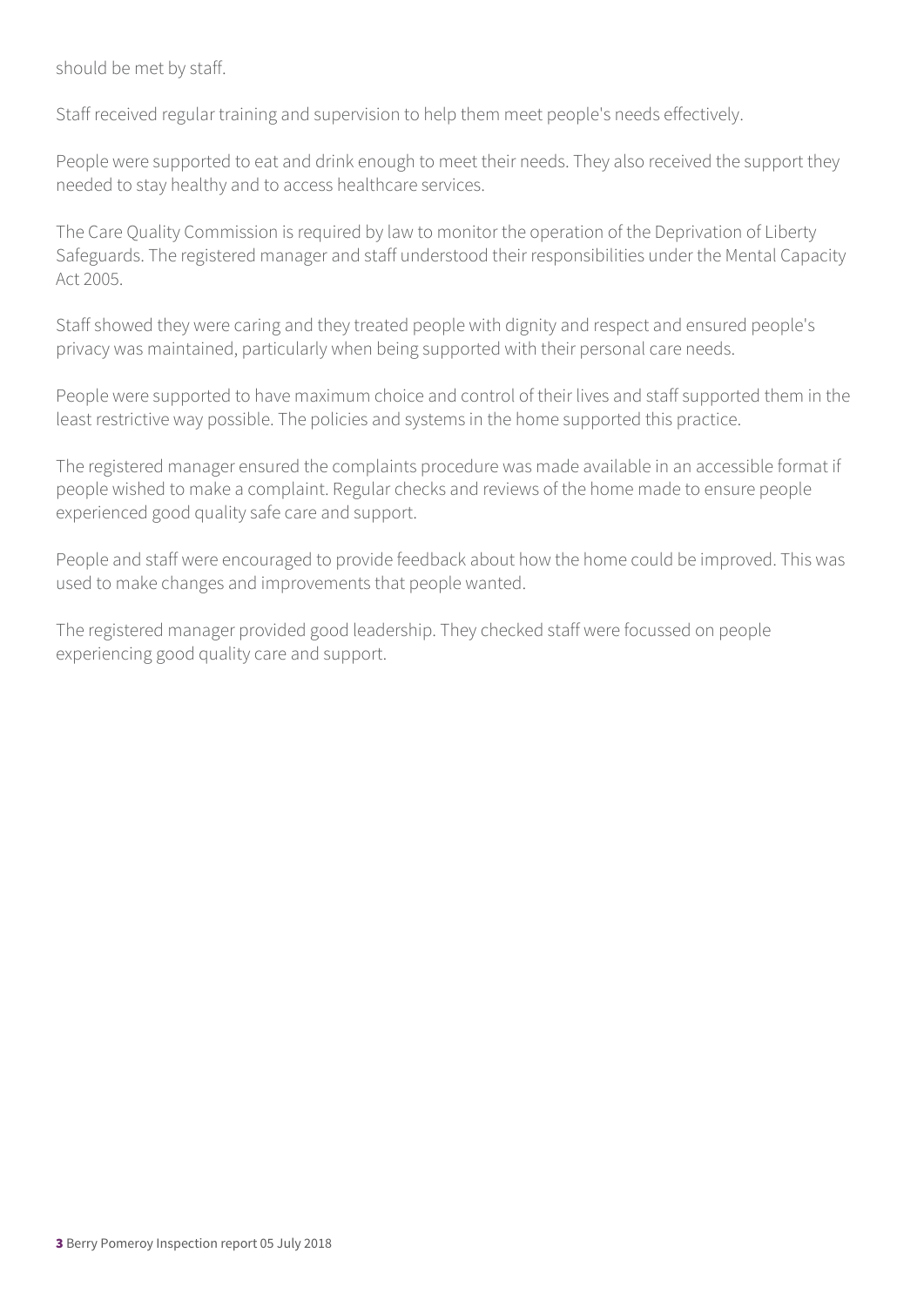should be met by staff.

Staff received regular training and supervision to help them meet people's needs effectively.

People were supported to eat and drink enough to meet their needs. They also received the support they needed to stay healthy and to access healthcare services.

The Care Quality Commission is required by law to monitor the operation of the Deprivation of Liberty Safeguards. The registered manager and staff understood their responsibilities under the Mental Capacity Act 2005.

Staff showed they were caring and they treated people with dignity and respect and ensured people's privacy was maintained, particularly when being supported with their personal care needs.

People were supported to have maximum choice and control of their lives and staff supported them in the least restrictive way possible. The policies and systems in the home supported this practice.

The registered manager ensured the complaints procedure was made available in an accessible format if people wished to make a complaint. Regular checks and reviews of the home made to ensure people experienced good quality safe care and support.

People and staff were encouraged to provide feedback about how the home could be improved. This was used to make changes and improvements that people wanted.

The registered manager provided good leadership. They checked staff were focussed on people experiencing good quality care and support.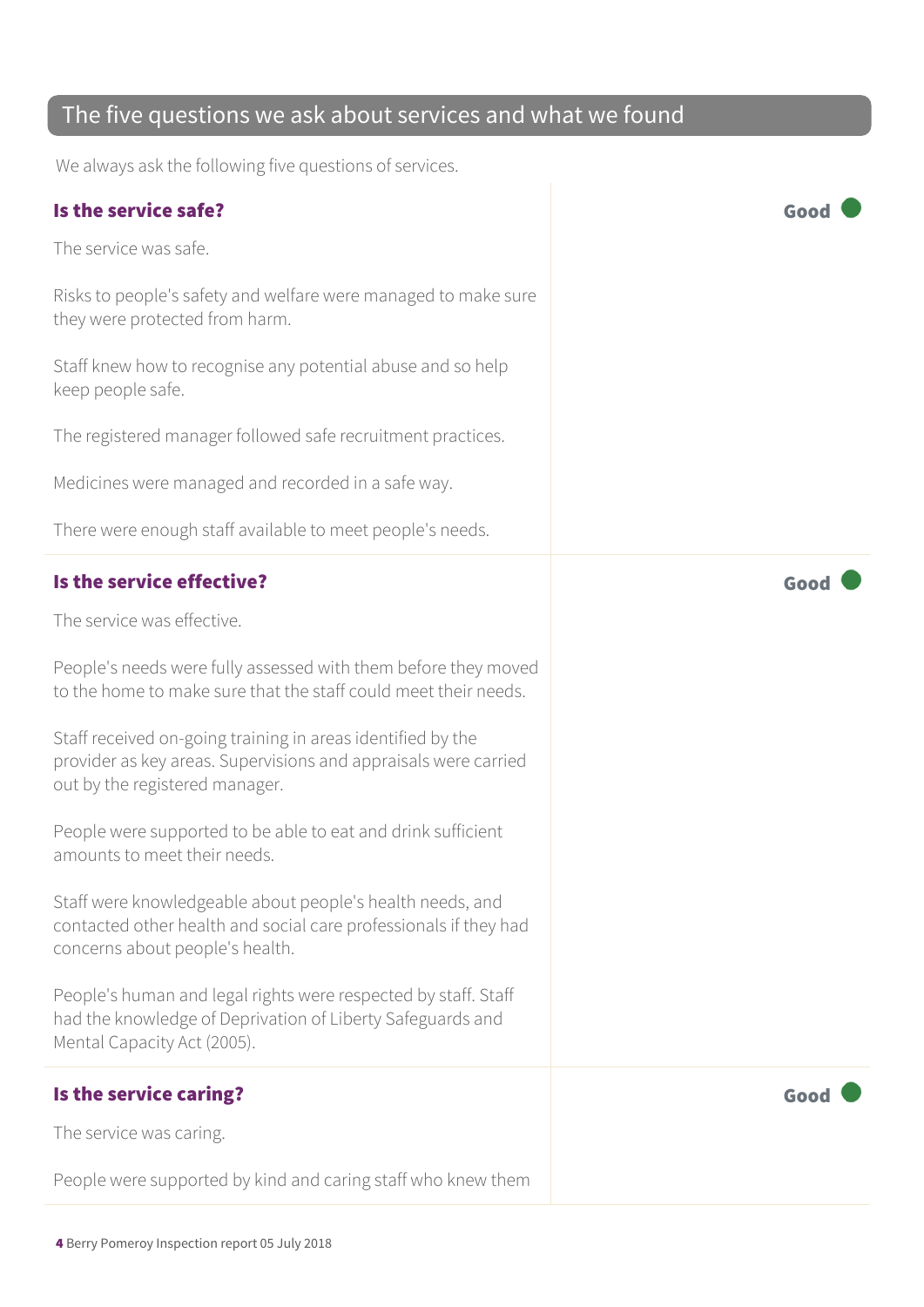## The five questions we ask about services and what we found

We always ask the following five questions of services.

#### Is the service safe? Good

The service was safe.

Risks to people's safety and welfare were managed to make sure they were protected from harm.

Staff knew how to recognise any potential abuse and so help keep people safe.

The registered manager followed safe recruitment practices.

Medicines were managed and recorded in a safe way.

There were enough staff available to meet people's needs.

#### Is the service effective? Good

The service was effective.

People's needs were fully assessed with them before they moved to the home to make sure that the staff could meet their needs.

Staff received on-going training in areas identified by the provider as key areas. Supervisions and appraisals were carried out by the registered manager.

People were supported to be able to eat and drink sufficient amounts to meet their needs.

Staff were knowledgeable about people's health needs, and contacted other health and social care professionals if they had concerns about people's health.

People's human and legal rights were respected by staff. Staff had the knowledge of Deprivation of Liberty Safeguards and Mental Capacity Act (2005).

### Is the service caring? The service caring?

The service was caring.

People were supported by kind and caring staff who knew them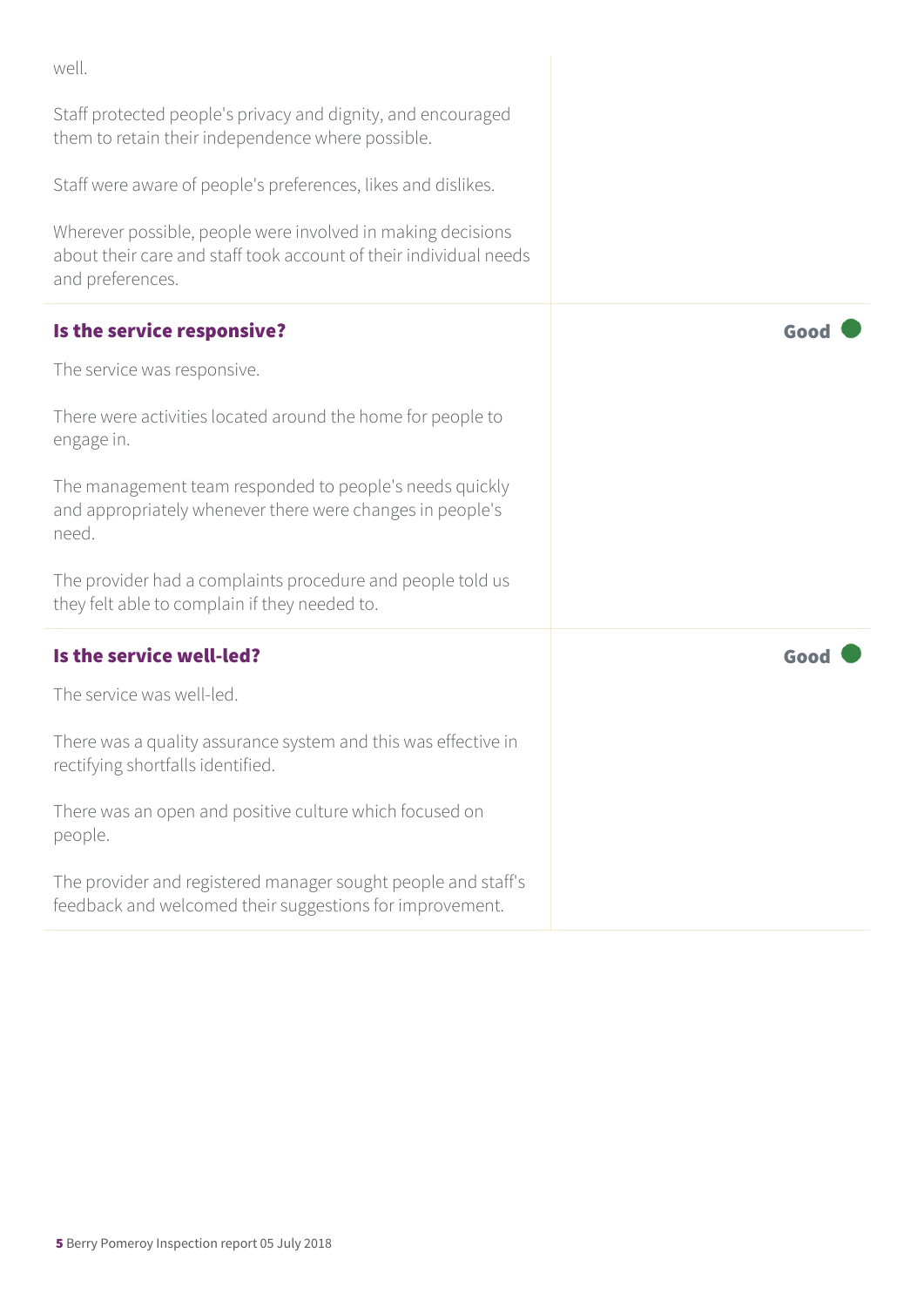| well.                                                                                                                                                |      |
|------------------------------------------------------------------------------------------------------------------------------------------------------|------|
| Staff protected people's privacy and dignity, and encouraged<br>them to retain their independence where possible.                                    |      |
| Staff were aware of people's preferences, likes and dislikes.                                                                                        |      |
| Wherever possible, people were involved in making decisions<br>about their care and staff took account of their individual needs<br>and preferences. |      |
| Is the service responsive?                                                                                                                           | Good |
| The service was responsive.                                                                                                                          |      |
| There were activities located around the home for people to<br>engage in.                                                                            |      |
| The management team responded to people's needs quickly<br>and appropriately whenever there were changes in people's<br>need.                        |      |
| The provider had a complaints procedure and people told us<br>they felt able to complain if they needed to.                                          |      |
| Is the service well-led?                                                                                                                             | Good |
| The service was well-led.                                                                                                                            |      |
| There was a quality assurance system and this was effective in<br>rectifying shortfalls identified.                                                  |      |
| There was an open and positive culture which focused on<br>people.                                                                                   |      |
| The provider and registered manager sought people and staff's<br>feedback and welcomed their suggestions for improvement.                            |      |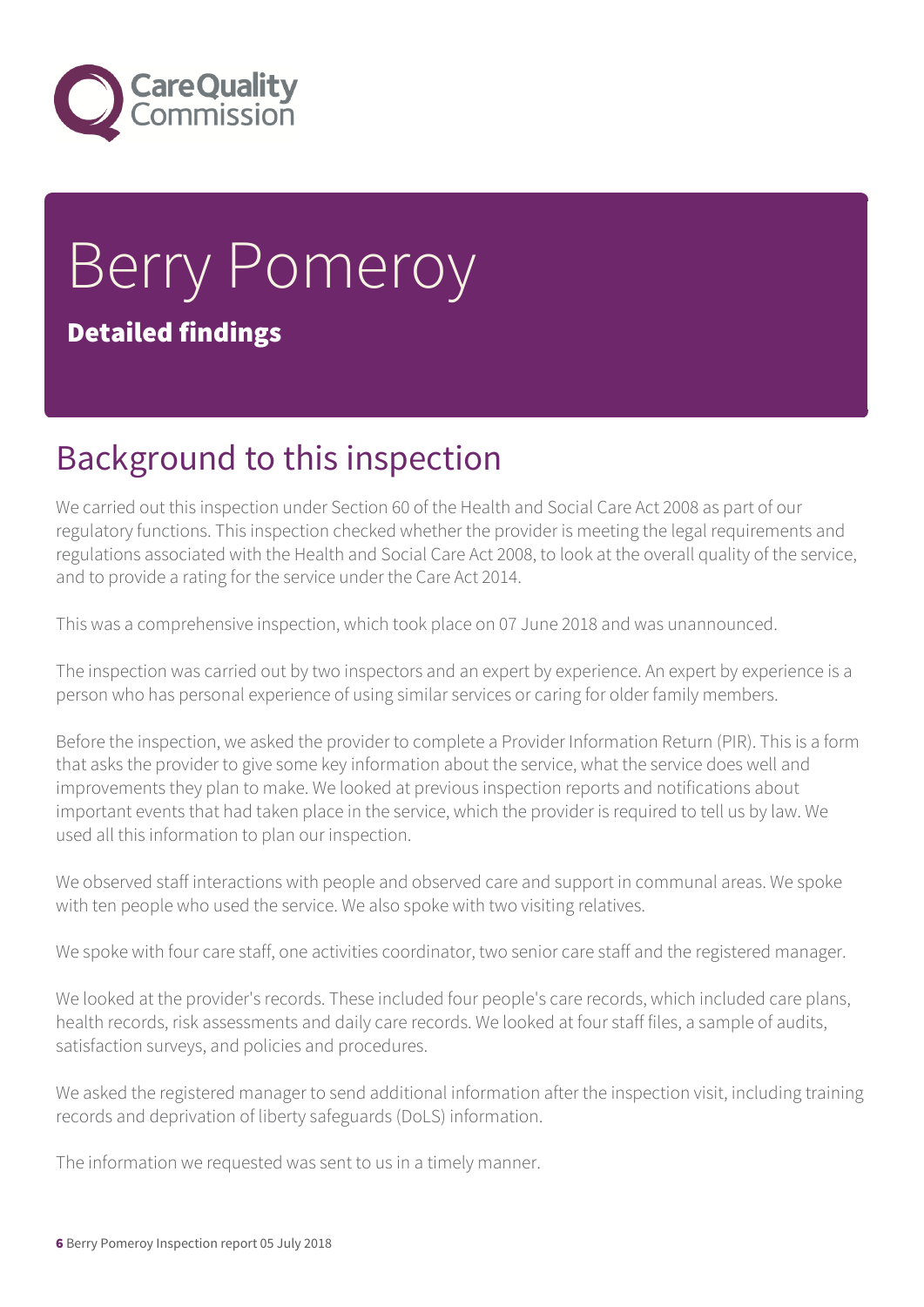

# Berry Pomeroy Detailed findings

## Background to this inspection

We carried out this inspection under Section 60 of the Health and Social Care Act 2008 as part of our regulatory functions. This inspection checked whether the provider is meeting the legal requirements and regulations associated with the Health and Social Care Act 2008, to look at the overall quality of the service, and to provide a rating for the service under the Care Act 2014.

This was a comprehensive inspection, which took place on 07 June 2018 and was unannounced.

The inspection was carried out by two inspectors and an expert by experience. An expert by experience is a person who has personal experience of using similar services or caring for older family members.

Before the inspection, we asked the provider to complete a Provider Information Return (PIR). This is a form that asks the provider to give some key information about the service, what the service does well and improvements they plan to make. We looked at previous inspection reports and notifications about important events that had taken place in the service, which the provider is required to tell us by law. We used all this information to plan our inspection.

We observed staff interactions with people and observed care and support in communal areas. We spoke with ten people who used the service. We also spoke with two visiting relatives.

We spoke with four care staff, one activities coordinator, two senior care staff and the registered manager.

We looked at the provider's records. These included four people's care records, which included care plans, health records, risk assessments and daily care records. We looked at four staff files, a sample of audits, satisfaction surveys, and policies and procedures.

We asked the registered manager to send additional information after the inspection visit, including training records and deprivation of liberty safeguards (DoLS) information.

The information we requested was sent to us in a timely manner.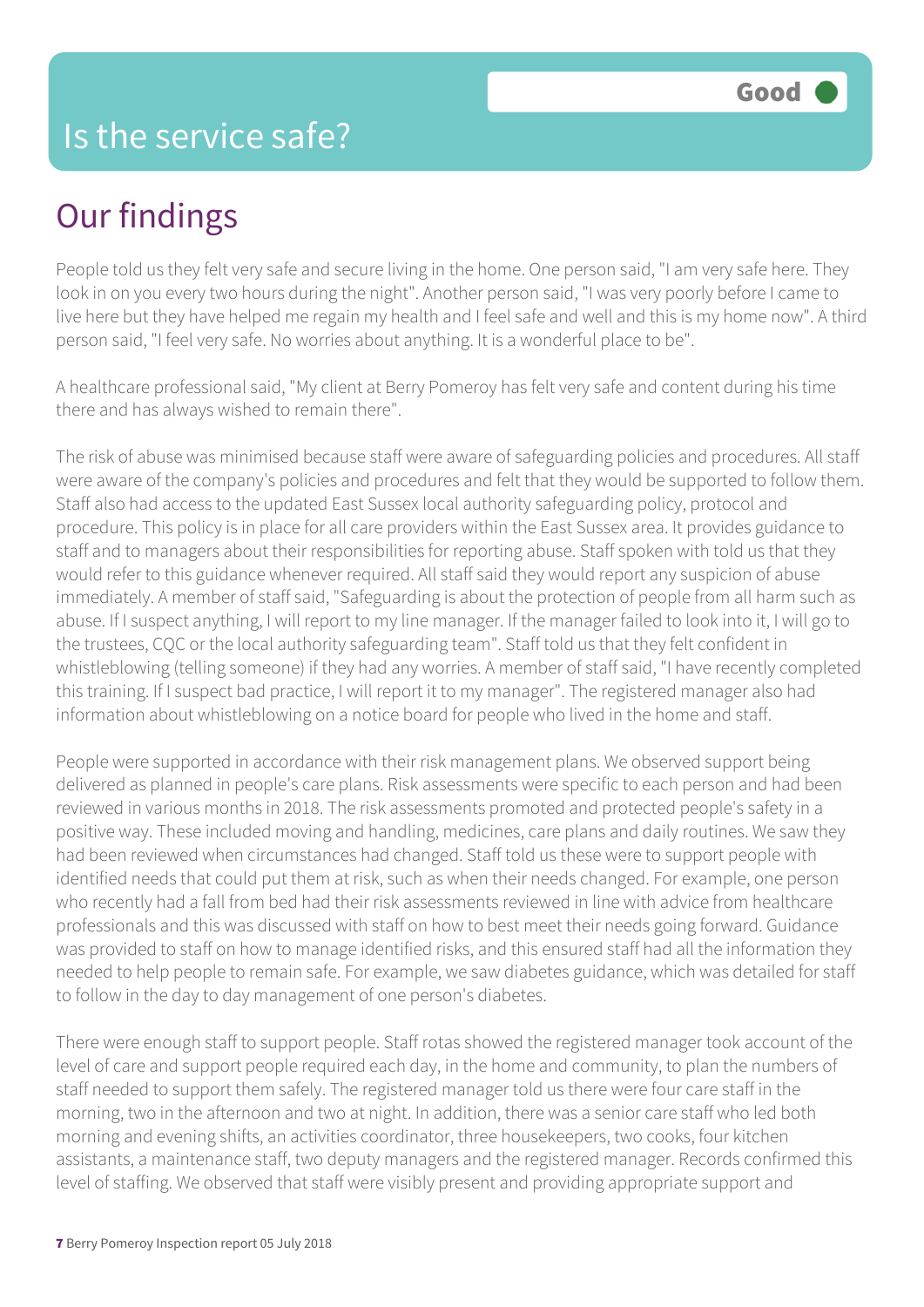## Our findings

People told us they felt very safe and secure living in the home. One person said, "I am very safe here. They look in on you every two hours during the night". Another person said, "I was very poorly before I came to live here but they have helped me regain my health and I feel safe and well and this is my home now". A third person said, "I feel very safe. No worries about anything. It is a wonderful place to be".

A healthcare professional said, "My client at Berry Pomeroy has felt very safe and content during his time there and has always wished to remain there".

The risk of abuse was minimised because staff were aware of safeguarding policies and procedures. All staff were aware of the company's policies and procedures and felt that they would be supported to follow them. Staff also had access to the updated East Sussex local authority safeguarding policy, protocol and procedure. This policy is in place for all care providers within the East Sussex area. It provides guidance to staff and to managers about their responsibilities for reporting abuse. Staff spoken with told us that they would refer to this guidance whenever required. All staff said they would report any suspicion of abuse immediately. A member of staff said, "Safeguarding is about the protection of people from all harm such as abuse. If I suspect anything, I will report to my line manager. If the manager failed to look into it, I will go to the trustees, CQC or the local authority safeguarding team". Staff told us that they felt confident in whistleblowing (telling someone) if they had any worries. A member of staff said, "I have recently completed this training. If I suspect bad practice, I will report it to my manager". The registered manager also had information about whistleblowing on a notice board for people who lived in the home and staff.

People were supported in accordance with their risk management plans. We observed support being delivered as planned in people's care plans. Risk assessments were specific to each person and had been reviewed in various months in 2018. The risk assessments promoted and protected people's safety in a positive way. These included moving and handling, medicines, care plans and daily routines. We saw they had been reviewed when circumstances had changed. Staff told us these were to support people with identified needs that could put them at risk, such as when their needs changed. For example, one person who recently had a fall from bed had their risk assessments reviewed in line with advice from healthcare professionals and this was discussed with staff on how to best meet their needs going forward. Guidance was provided to staff on how to manage identified risks, and this ensured staff had all the information they needed to help people to remain safe. For example, we saw diabetes guidance, which was detailed for staff to follow in the day to day management of one person's diabetes.

There were enough staff to support people. Staff rotas showed the registered manager took account of the level of care and support people required each day, in the home and community, to plan the numbers of staff needed to support them safely. The registered manager told us there were four care staff in the morning, two in the afternoon and two at night. In addition, there was a senior care staff who led both morning and evening shifts, an activities coordinator, three housekeepers, two cooks, four kitchen assistants, a maintenance staff, two deputy managers and the registered manager. Records confirmed this level of staffing. We observed that staff were visibly present and providing appropriate support and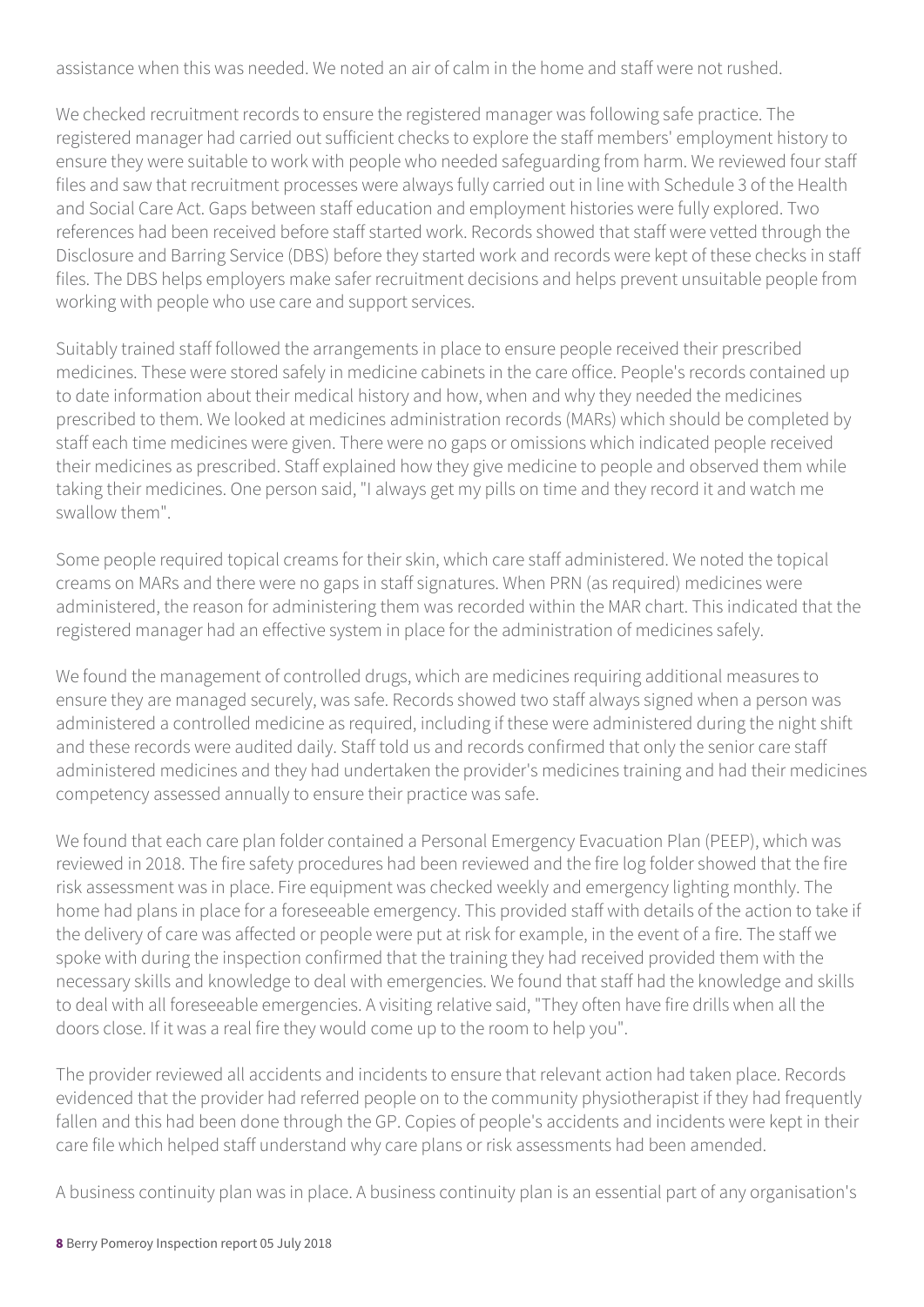assistance when this was needed. We noted an air of calm in the home and staff were not rushed.

We checked recruitment records to ensure the registered manager was following safe practice. The registered manager had carried out sufficient checks to explore the staff members' employment history to ensure they were suitable to work with people who needed safeguarding from harm. We reviewed four staff files and saw that recruitment processes were always fully carried out in line with Schedule 3 of the Health and Social Care Act. Gaps between staff education and employment histories were fully explored. Two references had been received before staff started work. Records showed that staff were vetted through the Disclosure and Barring Service (DBS) before they started work and records were kept of these checks in staff files. The DBS helps employers make safer recruitment decisions and helps prevent unsuitable people from working with people who use care and support services.

Suitably trained staff followed the arrangements in place to ensure people received their prescribed medicines. These were stored safely in medicine cabinets in the care office. People's records contained up to date information about their medical history and how, when and why they needed the medicines prescribed to them. We looked at medicines administration records (MARs) which should be completed by staff each time medicines were given. There were no gaps or omissions which indicated people received their medicines as prescribed. Staff explained how they give medicine to people and observed them while taking their medicines. One person said, "I always get my pills on time and they record it and watch me swallow them".

Some people required topical creams for their skin, which care staff administered. We noted the topical creams on MARs and there were no gaps in staff signatures. When PRN (as required) medicines were administered, the reason for administering them was recorded within the MAR chart. This indicated that the registered manager had an effective system in place for the administration of medicines safely.

We found the management of controlled drugs, which are medicines requiring additional measures to ensure they are managed securely, was safe. Records showed two staff always signed when a person was administered a controlled medicine as required, including if these were administered during the night shift and these records were audited daily. Staff told us and records confirmed that only the senior care staff administered medicines and they had undertaken the provider's medicines training and had their medicines competency assessed annually to ensure their practice was safe.

We found that each care plan folder contained a Personal Emergency Evacuation Plan (PEEP), which was reviewed in 2018. The fire safety procedures had been reviewed and the fire log folder showed that the fire risk assessment was in place. Fire equipment was checked weekly and emergency lighting monthly. The home had plans in place for a foreseeable emergency. This provided staff with details of the action to take if the delivery of care was affected or people were put at risk for example, in the event of a fire. The staff we spoke with during the inspection confirmed that the training they had received provided them with the necessary skills and knowledge to deal with emergencies. We found that staff had the knowledge and skills to deal with all foreseeable emergencies. A visiting relative said, "They often have fire drills when all the doors close. If it was a real fire they would come up to the room to help you".

The provider reviewed all accidents and incidents to ensure that relevant action had taken place. Records evidenced that the provider had referred people on to the community physiotherapist if they had frequently fallen and this had been done through the GP. Copies of people's accidents and incidents were kept in their care file which helped staff understand why care plans or risk assessments had been amended.

A business continuity plan was in place. A business continuity plan is an essential part of any organisation's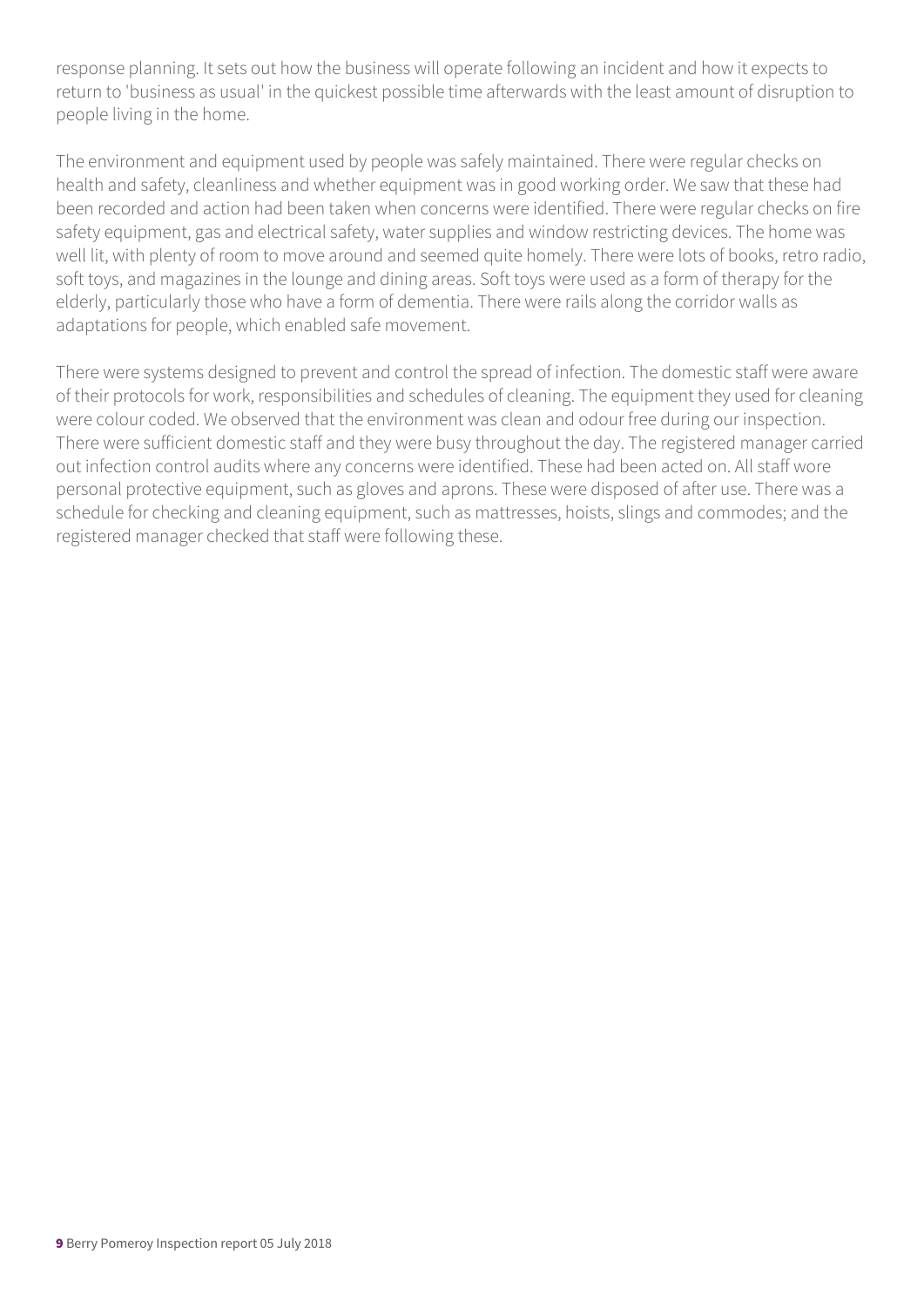response planning. It sets out how the business will operate following an incident and how it expects to return to 'business as usual' in the quickest possible time afterwards with the least amount of disruption to people living in the home.

The environment and equipment used by people was safely maintained. There were regular checks on health and safety, cleanliness and whether equipment was in good working order. We saw that these had been recorded and action had been taken when concerns were identified. There were regular checks on fire safety equipment, gas and electrical safety, water supplies and window restricting devices. The home was well lit, with plenty of room to move around and seemed quite homely. There were lots of books, retro radio, soft toys, and magazines in the lounge and dining areas. Soft toys were used as a form of therapy for the elderly, particularly those who have a form of dementia. There were rails along the corridor walls as adaptations for people, which enabled safe movement.

There were systems designed to prevent and control the spread of infection. The domestic staff were aware of their protocols for work, responsibilities and schedules of cleaning. The equipment they used for cleaning were colour coded. We observed that the environment was clean and odour free during our inspection. There were sufficient domestic staff and they were busy throughout the day. The registered manager carried out infection control audits where any concerns were identified. These had been acted on. All staff wore personal protective equipment, such as gloves and aprons. These were disposed of after use. There was a schedule for checking and cleaning equipment, such as mattresses, hoists, slings and commodes; and the registered manager checked that staff were following these.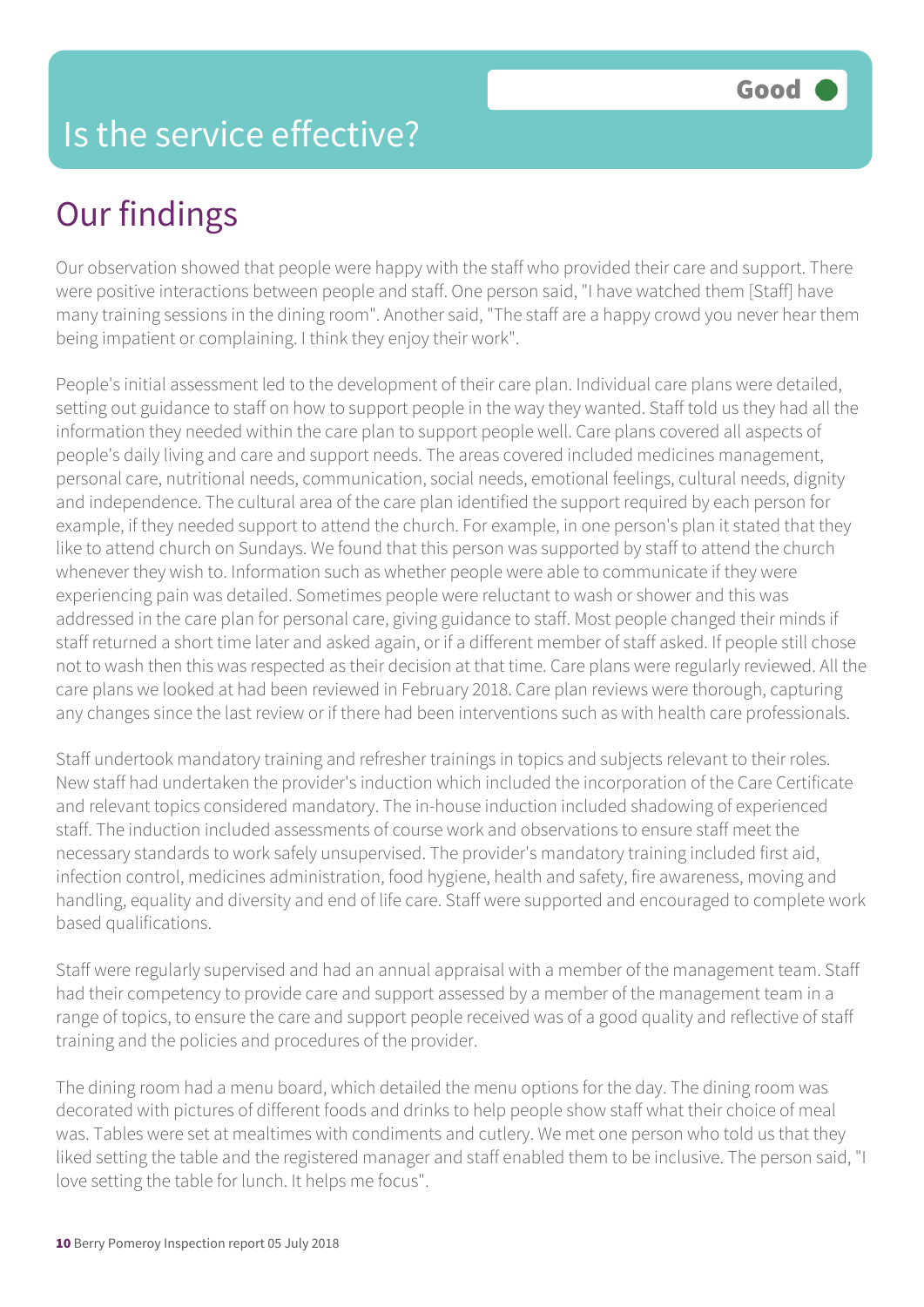# Our findings

Our observation showed that people were happy with the staff who provided their care and support. There were positive interactions between people and staff. One person said, "I have watched them [Staff] have many training sessions in the dining room". Another said, "The staff are a happy crowd you never hear them being impatient or complaining. I think they enjoy their work".

People's initial assessment led to the development of their care plan. Individual care plans were detailed, setting out guidance to staff on how to support people in the way they wanted. Staff told us they had all the information they needed within the care plan to support people well. Care plans covered all aspects of people's daily living and care and support needs. The areas covered included medicines management, personal care, nutritional needs, communication, social needs, emotional feelings, cultural needs, dignity and independence. The cultural area of the care plan identified the support required by each person for example, if they needed support to attend the church. For example, in one person's plan it stated that they like to attend church on Sundays. We found that this person was supported by staff to attend the church whenever they wish to. Information such as whether people were able to communicate if they were experiencing pain was detailed. Sometimes people were reluctant to wash or shower and this was addressed in the care plan for personal care, giving guidance to staff. Most people changed their minds if staff returned a short time later and asked again, or if a different member of staff asked. If people still chose not to wash then this was respected as their decision at that time. Care plans were regularly reviewed. All the care plans we looked at had been reviewed in February 2018. Care plan reviews were thorough, capturing any changes since the last review or if there had been interventions such as with health care professionals.

Staff undertook mandatory training and refresher trainings in topics and subjects relevant to their roles. New staff had undertaken the provider's induction which included the incorporation of the Care Certificate and relevant topics considered mandatory. The in-house induction included shadowing of experienced staff. The induction included assessments of course work and observations to ensure staff meet the necessary standards to work safely unsupervised. The provider's mandatory training included first aid, infection control, medicines administration, food hygiene, health and safety, fire awareness, moving and handling, equality and diversity and end of life care. Staff were supported and encouraged to complete work based qualifications.

Staff were regularly supervised and had an annual appraisal with a member of the management team. Staff had their competency to provide care and support assessed by a member of the management team in a range of topics, to ensure the care and support people received was of a good quality and reflective of staff training and the policies and procedures of the provider.

The dining room had a menu board, which detailed the menu options for the day. The dining room was decorated with pictures of different foods and drinks to help people show staff what their choice of meal was. Tables were set at mealtimes with condiments and cutlery. We met one person who told us that they liked setting the table and the registered manager and staff enabled them to be inclusive. The person said, "I love setting the table for lunch. It helps me focus".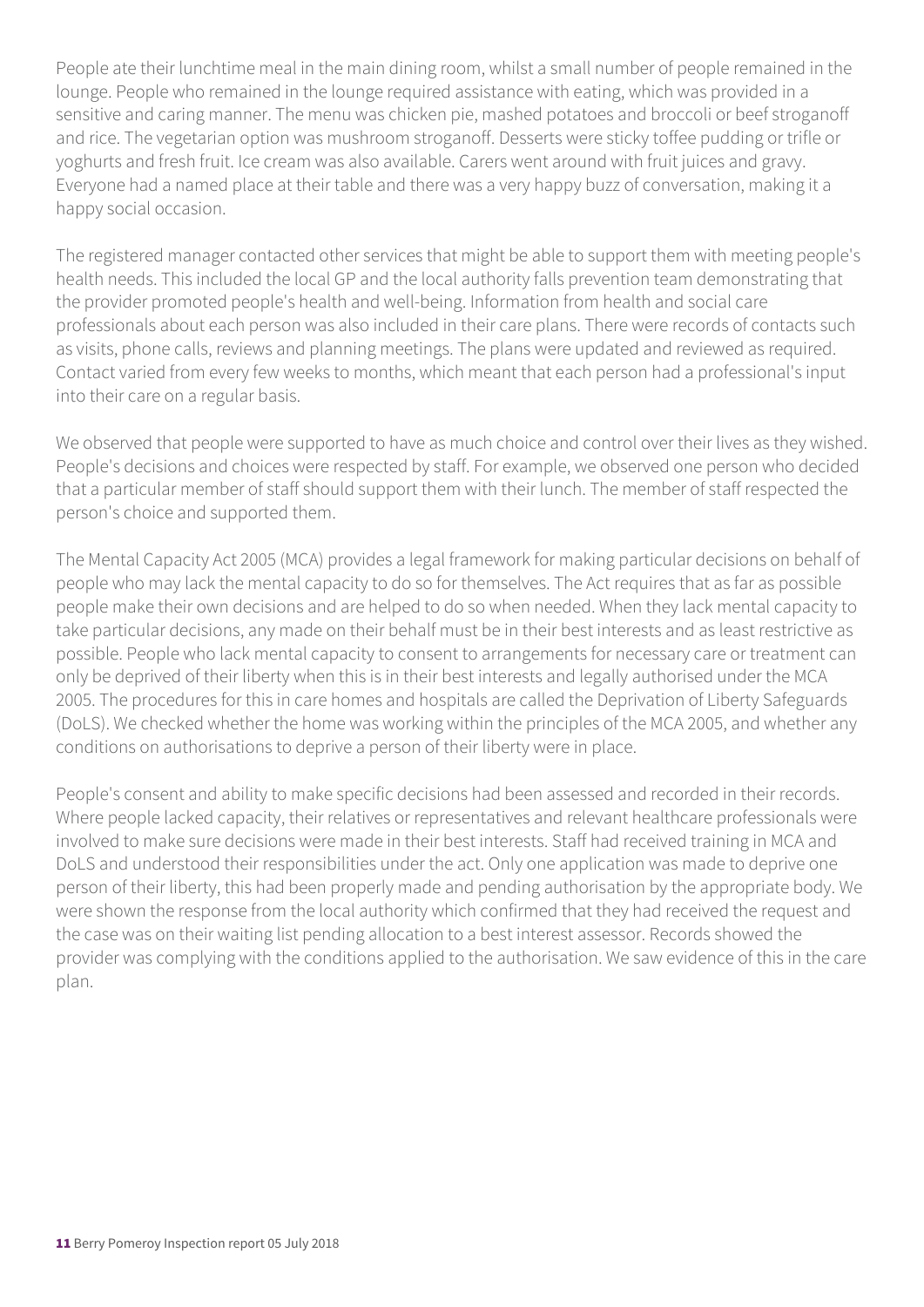People ate their lunchtime meal in the main dining room, whilst a small number of people remained in the lounge. People who remained in the lounge required assistance with eating, which was provided in a sensitive and caring manner. The menu was chicken pie, mashed potatoes and broccoli or beef stroganoff and rice. The vegetarian option was mushroom stroganoff. Desserts were sticky toffee pudding or trifle or yoghurts and fresh fruit. Ice cream was also available. Carers went around with fruit juices and gravy. Everyone had a named place at their table and there was a very happy buzz of conversation, making it a happy social occasion.

The registered manager contacted other services that might be able to support them with meeting people's health needs. This included the local GP and the local authority falls prevention team demonstrating that the provider promoted people's health and well-being. Information from health and social care professionals about each person was also included in their care plans. There were records of contacts such as visits, phone calls, reviews and planning meetings. The plans were updated and reviewed as required. Contact varied from every few weeks to months, which meant that each person had a professional's input into their care on a regular basis.

We observed that people were supported to have as much choice and control over their lives as they wished. People's decisions and choices were respected by staff. For example, we observed one person who decided that a particular member of staff should support them with their lunch. The member of staff respected the person's choice and supported them.

The Mental Capacity Act 2005 (MCA) provides a legal framework for making particular decisions on behalf of people who may lack the mental capacity to do so for themselves. The Act requires that as far as possible people make their own decisions and are helped to do so when needed. When they lack mental capacity to take particular decisions, any made on their behalf must be in their best interests and as least restrictive as possible. People who lack mental capacity to consent to arrangements for necessary care or treatment can only be deprived of their liberty when this is in their best interests and legally authorised under the MCA 2005. The procedures for this in care homes and hospitals are called the Deprivation of Liberty Safeguards (DoLS). We checked whether the home was working within the principles of the MCA 2005, and whether any conditions on authorisations to deprive a person of their liberty were in place.

People's consent and ability to make specific decisions had been assessed and recorded in their records. Where people lacked capacity, their relatives or representatives and relevant healthcare professionals were involved to make sure decisions were made in their best interests. Staff had received training in MCA and DoLS and understood their responsibilities under the act. Only one application was made to deprive one person of their liberty, this had been properly made and pending authorisation by the appropriate body. We were shown the response from the local authority which confirmed that they had received the request and the case was on their waiting list pending allocation to a best interest assessor. Records showed the provider was complying with the conditions applied to the authorisation. We saw evidence of this in the care plan.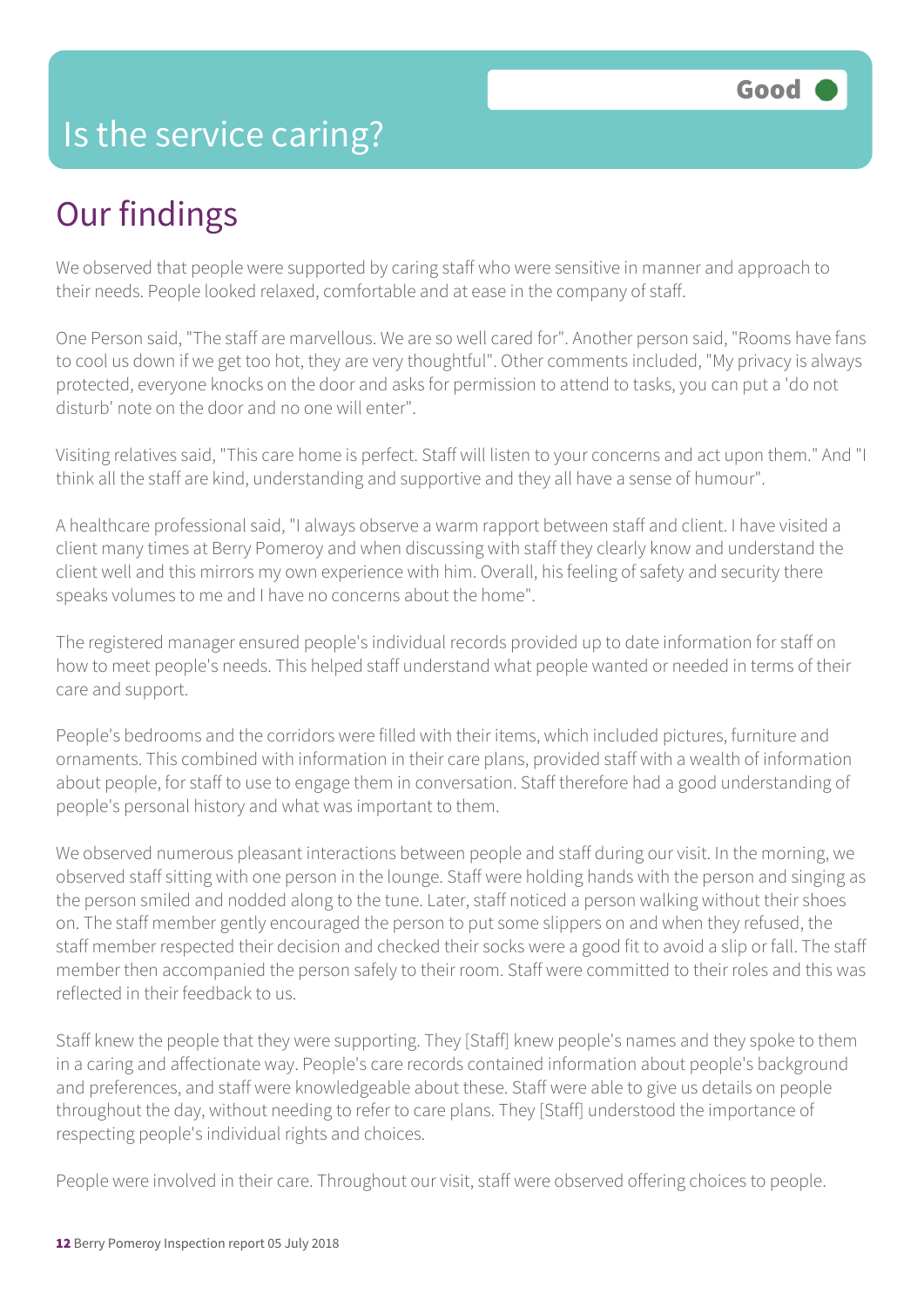## Is the service caring?

## Our findings

We observed that people were supported by caring staff who were sensitive in manner and approach to their needs. People looked relaxed, comfortable and at ease in the company of staff.

One Person said, "The staff are marvellous. We are so well cared for". Another person said, "Rooms have fans to cool us down if we get too hot, they are very thoughtful". Other comments included, "My privacy is always protected, everyone knocks on the door and asks for permission to attend to tasks, you can put a 'do not disturb' note on the door and no one will enter".

Visiting relatives said, "This care home is perfect. Staff will listen to your concerns and act upon them." And "I think all the staff are kind, understanding and supportive and they all have a sense of humour".

A healthcare professional said, "I always observe a warm rapport between staff and client. I have visited a client many times at Berry Pomeroy and when discussing with staff they clearly know and understand the client well and this mirrors my own experience with him. Overall, his feeling of safety and security there speaks volumes to me and I have no concerns about the home".

The registered manager ensured people's individual records provided up to date information for staff on how to meet people's needs. This helped staff understand what people wanted or needed in terms of their care and support.

People's bedrooms and the corridors were filled with their items, which included pictures, furniture and ornaments. This combined with information in their care plans, provided staff with a wealth of information about people, for staff to use to engage them in conversation. Staff therefore had a good understanding of people's personal history and what was important to them.

We observed numerous pleasant interactions between people and staff during our visit. In the morning, we observed staff sitting with one person in the lounge. Staff were holding hands with the person and singing as the person smiled and nodded along to the tune. Later, staff noticed a person walking without their shoes on. The staff member gently encouraged the person to put some slippers on and when they refused, the staff member respected their decision and checked their socks were a good fit to avoid a slip or fall. The staff member then accompanied the person safely to their room. Staff were committed to their roles and this was reflected in their feedback to us.

Staff knew the people that they were supporting. They [Staff] knew people's names and they spoke to them in a caring and affectionate way. People's care records contained information about people's background and preferences, and staff were knowledgeable about these. Staff were able to give us details on people throughout the day, without needing to refer to care plans. They [Staff] understood the importance of respecting people's individual rights and choices.

People were involved in their care. Throughout our visit, staff were observed offering choices to people.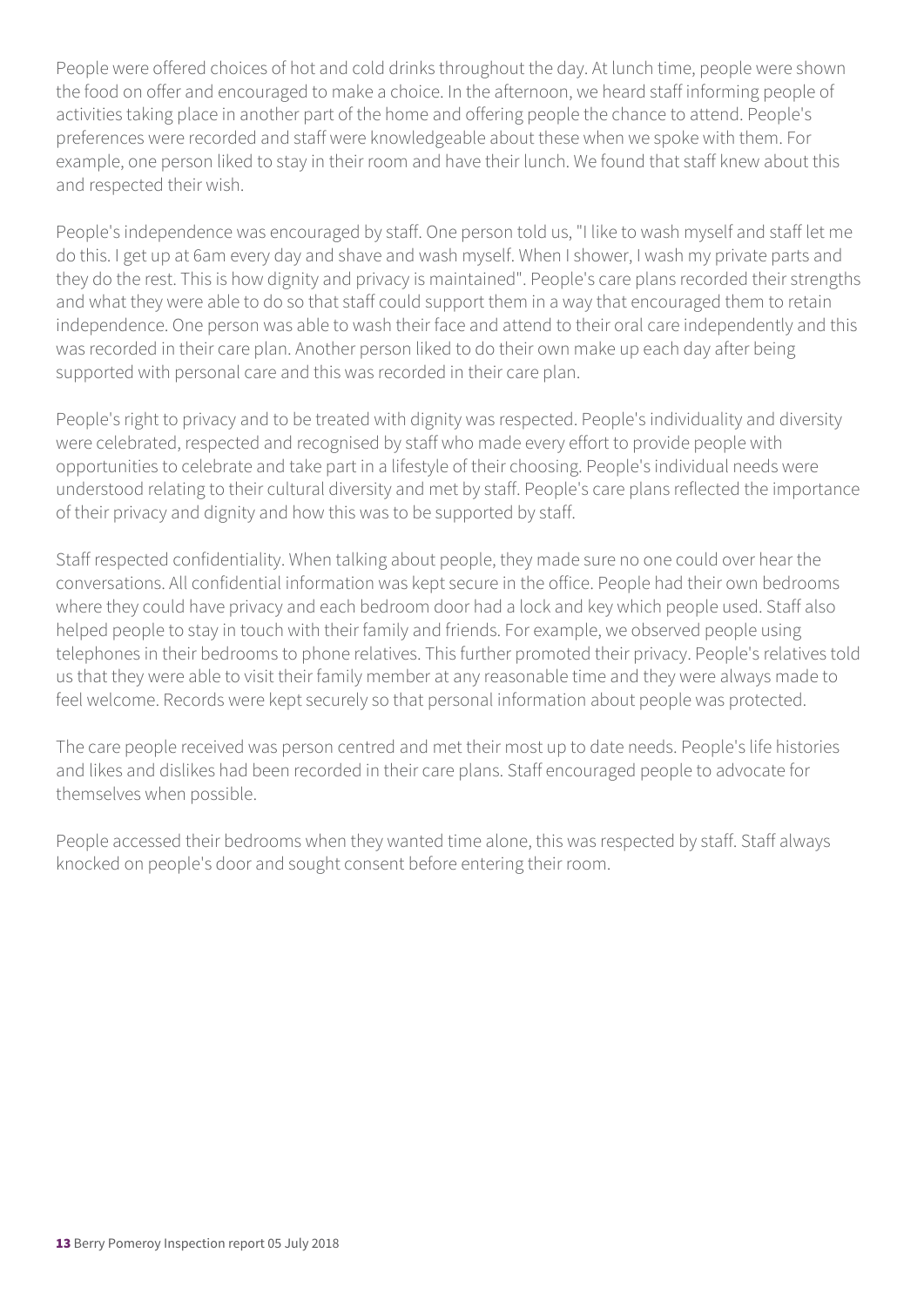People were offered choices of hot and cold drinks throughout the day. At lunch time, people were shown the food on offer and encouraged to make a choice. In the afternoon, we heard staff informing people of activities taking place in another part of the home and offering people the chance to attend. People's preferences were recorded and staff were knowledgeable about these when we spoke with them. For example, one person liked to stay in their room and have their lunch. We found that staff knew about this and respected their wish.

People's independence was encouraged by staff. One person told us, "I like to wash myself and staff let me do this. I get up at 6am every day and shave and wash myself. When I shower, I wash my private parts and they do the rest. This is how dignity and privacy is maintained". People's care plans recorded their strengths and what they were able to do so that staff could support them in a way that encouraged them to retain independence. One person was able to wash their face and attend to their oral care independently and this was recorded in their care plan. Another person liked to do their own make up each day after being supported with personal care and this was recorded in their care plan.

People's right to privacy and to be treated with dignity was respected. People's individuality and diversity were celebrated, respected and recognised by staff who made every effort to provide people with opportunities to celebrate and take part in a lifestyle of their choosing. People's individual needs were understood relating to their cultural diversity and met by staff. People's care plans reflected the importance of their privacy and dignity and how this was to be supported by staff.

Staff respected confidentiality. When talking about people, they made sure no one could over hear the conversations. All confidential information was kept secure in the office. People had their own bedrooms where they could have privacy and each bedroom door had a lock and key which people used. Staff also helped people to stay in touch with their family and friends. For example, we observed people using telephones in their bedrooms to phone relatives. This further promoted their privacy. People's relatives told us that they were able to visit their family member at any reasonable time and they were always made to feel welcome. Records were kept securely so that personal information about people was protected.

The care people received was person centred and met their most up to date needs. People's life histories and likes and dislikes had been recorded in their care plans. Staff encouraged people to advocate for themselves when possible.

People accessed their bedrooms when they wanted time alone, this was respected by staff. Staff always knocked on people's door and sought consent before entering their room.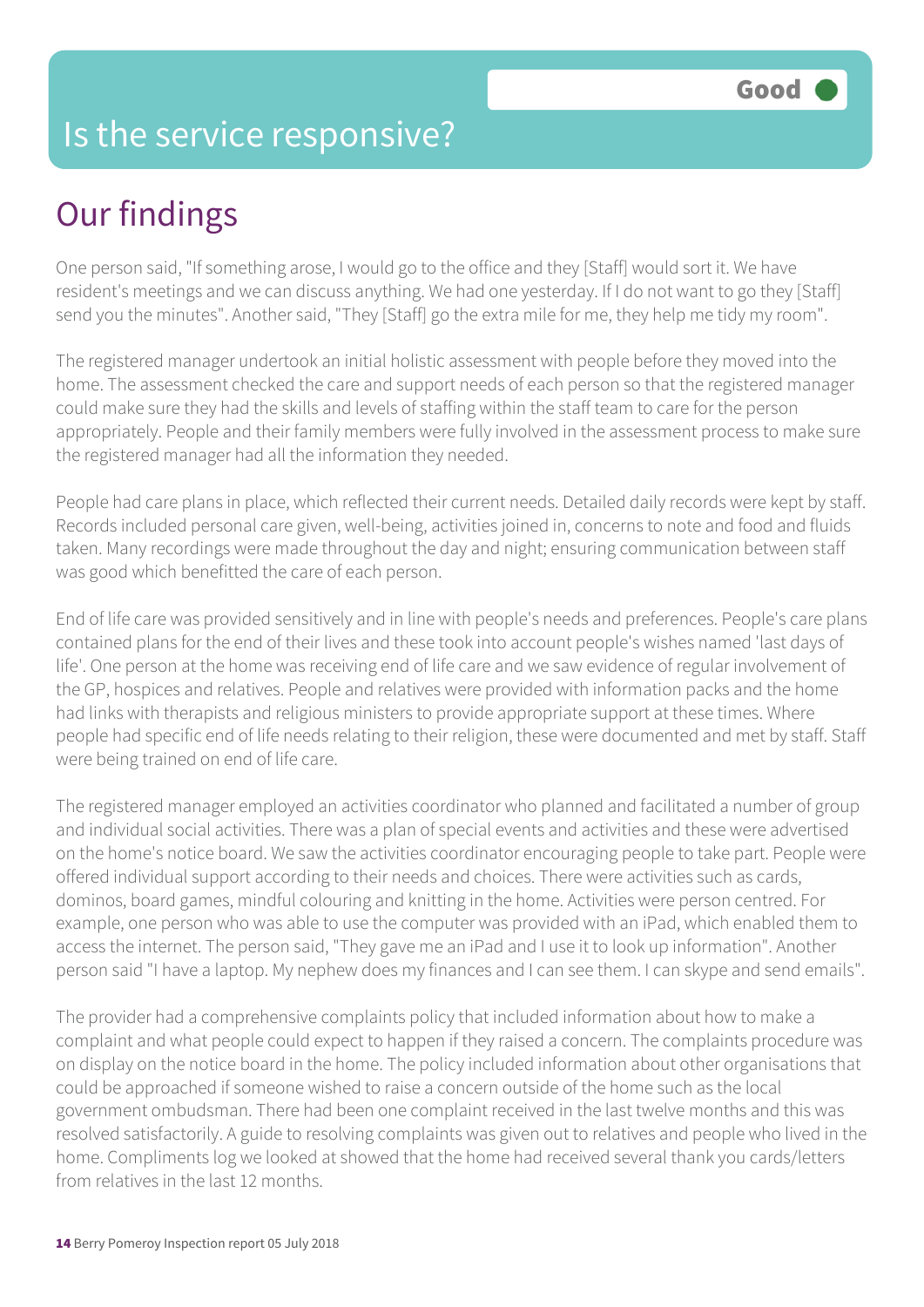## Is the service responsive?

# Our findings

One person said, "If something arose, I would go to the office and they [Staff] would sort it. We have resident's meetings and we can discuss anything. We had one yesterday. If I do not want to go they [Staff] send you the minutes". Another said, "They [Staff] go the extra mile for me, they help me tidy my room".

The registered manager undertook an initial holistic assessment with people before they moved into the home. The assessment checked the care and support needs of each person so that the registered manager could make sure they had the skills and levels of staffing within the staff team to care for the person appropriately. People and their family members were fully involved in the assessment process to make sure the registered manager had all the information they needed.

People had care plans in place, which reflected their current needs. Detailed daily records were kept by staff. Records included personal care given, well-being, activities joined in, concerns to note and food and fluids taken. Many recordings were made throughout the day and night; ensuring communication between staff was good which benefitted the care of each person.

End of life care was provided sensitively and in line with people's needs and preferences. People's care plans contained plans for the end of their lives and these took into account people's wishes named 'last days of life'. One person at the home was receiving end of life care and we saw evidence of regular involvement of the GP, hospices and relatives. People and relatives were provided with information packs and the home had links with therapists and religious ministers to provide appropriate support at these times. Where people had specific end of life needs relating to their religion, these were documented and met by staff. Staff were being trained on end of life care.

The registered manager employed an activities coordinator who planned and facilitated a number of group and individual social activities. There was a plan of special events and activities and these were advertised on the home's notice board. We saw the activities coordinator encouraging people to take part. People were offered individual support according to their needs and choices. There were activities such as cards, dominos, board games, mindful colouring and knitting in the home. Activities were person centred. For example, one person who was able to use the computer was provided with an iPad, which enabled them to access the internet. The person said, "They gave me an iPad and I use it to look up information". Another person said "I have a laptop. My nephew does my finances and I can see them. I can skype and send emails".

The provider had a comprehensive complaints policy that included information about how to make a complaint and what people could expect to happen if they raised a concern. The complaints procedure was on display on the notice board in the home. The policy included information about other organisations that could be approached if someone wished to raise a concern outside of the home such as the local government ombudsman. There had been one complaint received in the last twelve months and this was resolved satisfactorily. A guide to resolving complaints was given out to relatives and people who lived in the home. Compliments log we looked at showed that the home had received several thank you cards/letters from relatives in the last 12 months.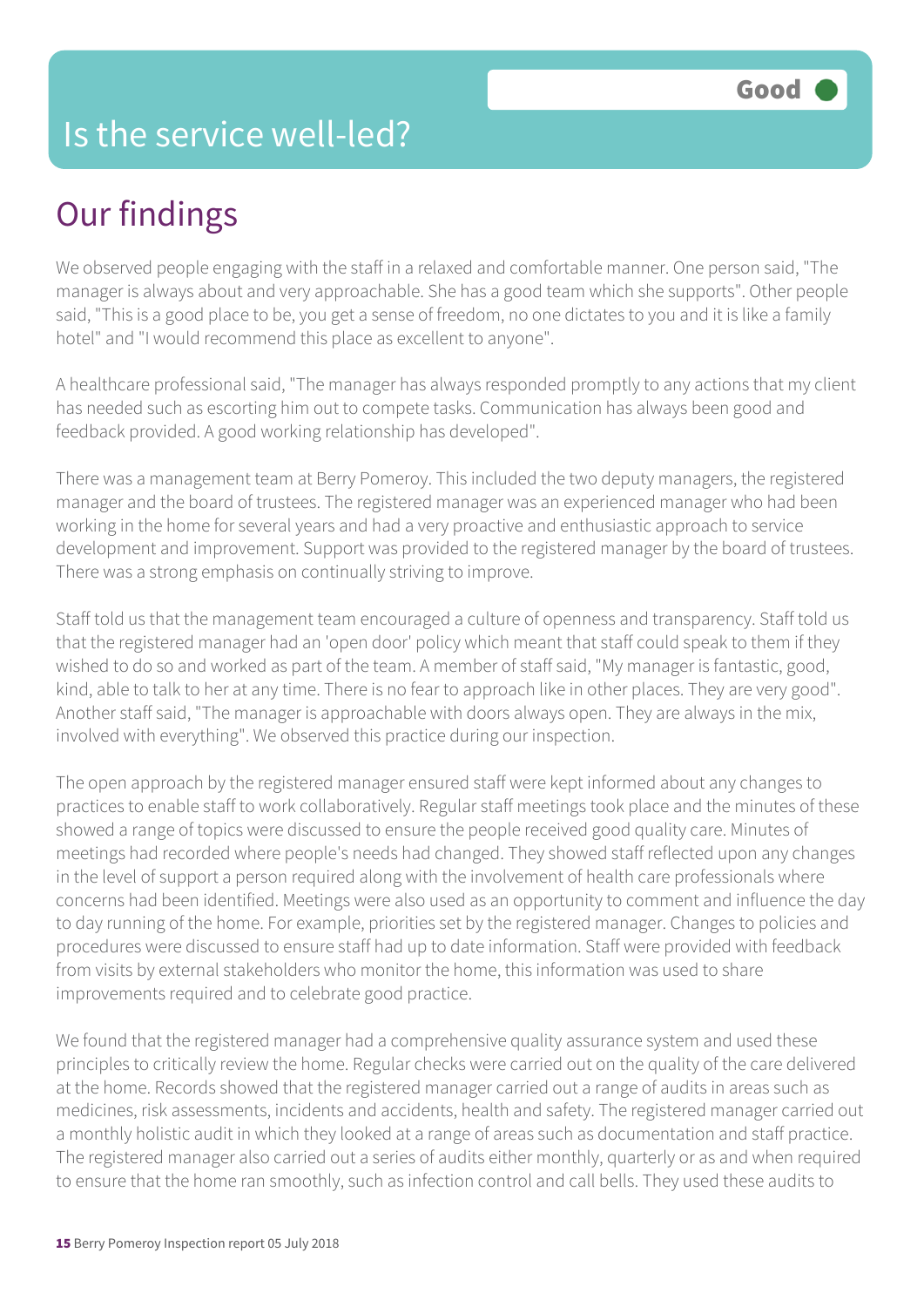# Our findings

We observed people engaging with the staff in a relaxed and comfortable manner. One person said, "The manager is always about and very approachable. She has a good team which she supports". Other people said, "This is a good place to be, you get a sense of freedom, no one dictates to you and it is like a family hotel" and "I would recommend this place as excellent to anyone".

A healthcare professional said, "The manager has always responded promptly to any actions that my client has needed such as escorting him out to compete tasks. Communication has always been good and feedback provided. A good working relationship has developed".

There was a management team at Berry Pomeroy. This included the two deputy managers, the registered manager and the board of trustees. The registered manager was an experienced manager who had been working in the home for several years and had a very proactive and enthusiastic approach to service development and improvement. Support was provided to the registered manager by the board of trustees. There was a strong emphasis on continually striving to improve.

Staff told us that the management team encouraged a culture of openness and transparency. Staff told us that the registered manager had an 'open door' policy which meant that staff could speak to them if they wished to do so and worked as part of the team. A member of staff said, "My manager is fantastic, good, kind, able to talk to her at any time. There is no fear to approach like in other places. They are very good". Another staff said, "The manager is approachable with doors always open. They are always in the mix, involved with everything". We observed this practice during our inspection.

The open approach by the registered manager ensured staff were kept informed about any changes to practices to enable staff to work collaboratively. Regular staff meetings took place and the minutes of these showed a range of topics were discussed to ensure the people received good quality care. Minutes of meetings had recorded where people's needs had changed. They showed staff reflected upon any changes in the level of support a person required along with the involvement of health care professionals where concerns had been identified. Meetings were also used as an opportunity to comment and influence the day to day running of the home. For example, priorities set by the registered manager. Changes to policies and procedures were discussed to ensure staff had up to date information. Staff were provided with feedback from visits by external stakeholders who monitor the home, this information was used to share improvements required and to celebrate good practice.

We found that the registered manager had a comprehensive quality assurance system and used these principles to critically review the home. Regular checks were carried out on the quality of the care delivered at the home. Records showed that the registered manager carried out a range of audits in areas such as medicines, risk assessments, incidents and accidents, health and safety. The registered manager carried out a monthly holistic audit in which they looked at a range of areas such as documentation and staff practice. The registered manager also carried out a series of audits either monthly, quarterly or as and when required to ensure that the home ran smoothly, such as infection control and call bells. They used these audits to